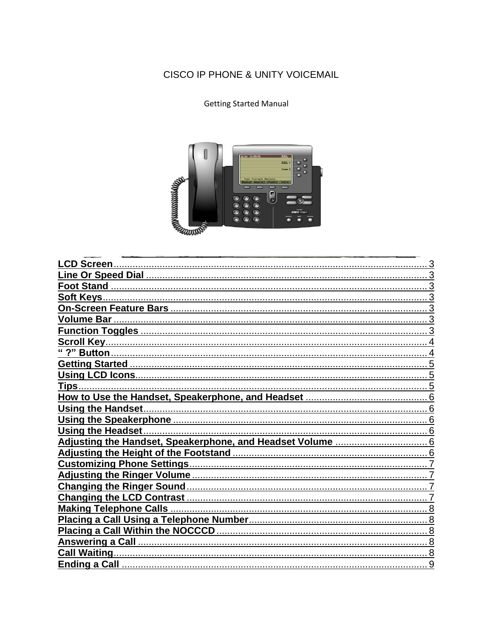### CISCO IP PHONE & UNITY VOICEMAIL

#### **Getting Started Manual**



| Ending a Call<br>Q |
|--------------------|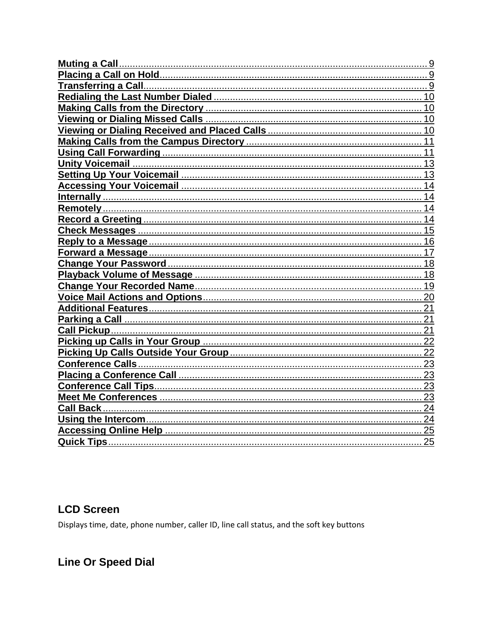| 9               |
|-----------------|
| 10              |
| 10              |
| 10              |
| 10              |
| 11              |
| 11              |
| 13              |
|                 |
|                 |
| 14              |
| 14              |
|                 |
| 15              |
| 16              |
| 17              |
| 18              |
| 18              |
| 19              |
| 20              |
| 21              |
| 21              |
|                 |
|                 |
|                 |
| $\frac{1}{2}$   |
|                 |
| 23              |
| 23              |
| 24              |
|                 |
| $\overline{25}$ |
| 25              |

### **LCD Screen**

Displays time, date, phone number, caller ID, line call status, and the soft key buttons

### **Line Or Speed Dial**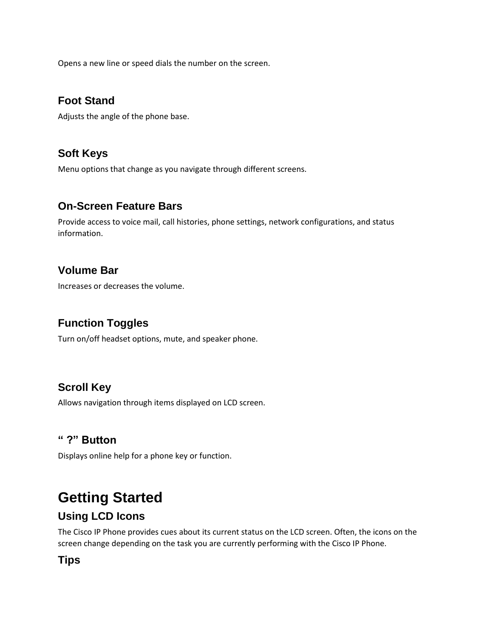Opens a new line or speed dials the number on the screen.

#### **Foot Stand**

Adjusts the angle of the phone base.

#### **Soft Keys**

Menu options that change as you navigate through different screens.

#### **On-Screen Feature Bars**

Provide access to voice mail, call histories, phone settings, network configurations, and status information.

#### **Volume Bar**

Increases or decreases the volume.

### **Function Toggles**

Turn on/off headset options, mute, and speaker phone.

#### **Scroll Key**

Allows navigation through items displayed on LCD screen.

#### **" ?" Button**

Displays online help for a phone key or function.

# **Getting Started**

#### **Using LCD Icons**

The Cisco IP Phone provides cues about its current status on the LCD screen. Often, the icons on the screen change depending on the task you are currently performing with the Cisco IP Phone.

#### **Tips**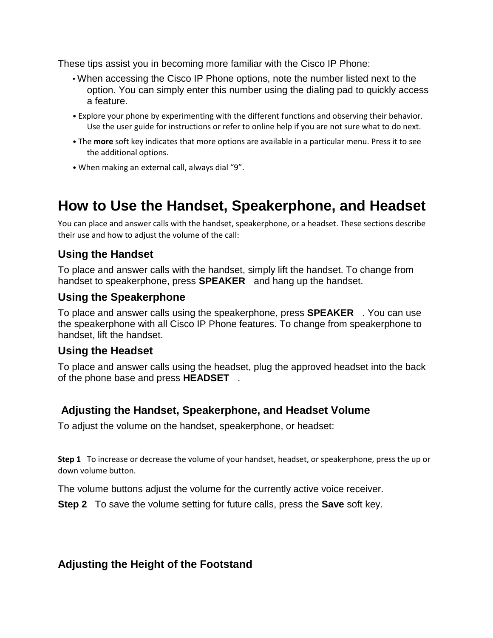These tips assist you in becoming more familiar with the Cisco IP Phone:

- When accessing the Cisco IP Phone options, note the number listed next to the option. You can simply enter this number using the dialing pad to quickly access a feature.
- Explore your phone by experimenting with the different functions and observing their behavior. Use the user guide for instructions or refer to online help if you are not sure what to do next.
- The **more** soft key indicates that more options are available in a particular menu. Press it to see the additional options.
- When making an external call, always dial "9".

# **How to Use the Handset, Speakerphone, and Headset**

You can place and answer calls with the handset, speakerphone, or a headset. These sections describe their use and how to adjust the volume of the call:

#### **Using the Handset**

To place and answer calls with the handset, simply lift the handset. To change from handset to speakerphone, press **SPEAKER** and hang up the handset.

#### **Using the Speakerphone**

To place and answer calls using the speakerphone, press **SPEAKER** . You can use the speakerphone with all Cisco IP Phone features. To change from speakerphone to handset, lift the handset.

#### **Using the Headset**

To place and answer calls using the headset, plug the approved headset into the back of the phone base and press **HEADSET** .

#### **Adjusting the Handset, Speakerphone, and Headset Volume**

To adjust the volume on the handset, speakerphone, or headset:

**Step 1** To increase or decrease the volume of your handset, headset, or speakerphone, press the up or down volume button.

The volume buttons adjust the volume for the currently active voice receiver.

**Step 2** To save the volume setting for future calls, press the **Save** soft key.

#### **Adjusting the Height of the Footstand**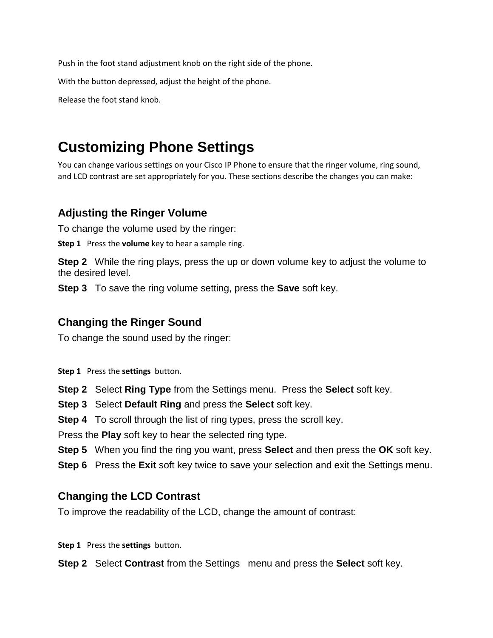Push in the foot stand adjustment knob on the right side of the phone.

With the button depressed, adjust the height of the phone.

Release the foot stand knob.

# **Customizing Phone Settings**

You can change various settings on your Cisco IP Phone to ensure that the ringer volume, ring sound, and LCD contrast are set appropriately for you. These sections describe the changes you can make:

#### **Adjusting the Ringer Volume**

To change the volume used by the ringer:

**Step 1** Press the **volume** key to hear a sample ring.

**Step 2** While the ring plays, press the up or down volume key to adjust the volume to the desired level.

**Step 3** To save the ring volume setting, press the **Save** soft key.

#### **Changing the Ringer Sound**

To change the sound used by the ringer:

**Step 1** Press the **settings** button.

**Step 2** Select **Ring Type** from the Settings menu. Press the **Select** soft key.

**Step 3** Select **Default Ring** and press the **Select** soft key.

**Step 4** To scroll through the list of ring types, press the scroll key.

Press the **Play** soft key to hear the selected ring type.

**Step 5** When you find the ring you want, press **Select** and then press the **OK** soft key.

**Step 6** Press the **Exit** soft key twice to save your selection and exit the Settings menu.

#### **Changing the LCD Contrast**

To improve the readability of the LCD, change the amount of contrast:

**Step 1** Press the **settings** button.

**Step 2** Select **Contrast** from the Settings menu and press the **Select** soft key.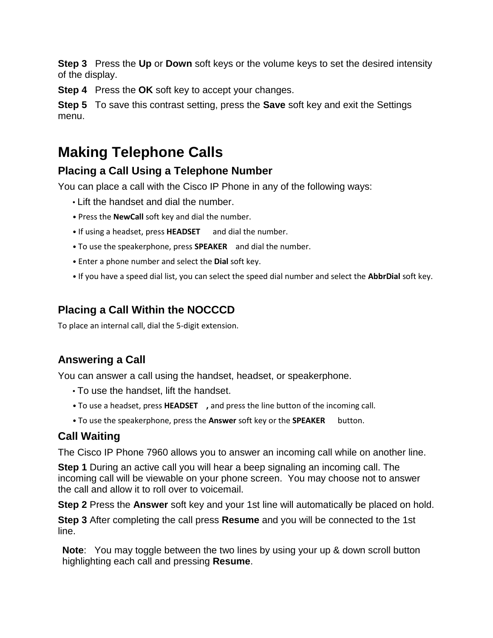**Step 3** Press the **Up** or **Down** soft keys or the volume keys to set the desired intensity of the display.

**Step 4** Press the **OK** soft key to accept your changes.

**Step 5** To save this contrast setting, press the **Save** soft key and exit the Settings menu.

# **Making Telephone Calls**

#### **Placing a Call Using a Telephone Number**

You can place a call with the Cisco IP Phone in any of the following ways:

- Lift the handset and dial the number.
- Press the **NewCall** soft key and dial the number.
- If using a headset, press **HEADSET** and dial the number.
- To use the speakerphone, press **SPEAKER** and dial the number.
- Enter a phone number and select the **Dial** soft key.
- If you have a speed dial list, you can select the speed dial number and select the **AbbrDial** soft key.

### **Placing a Call Within the NOCCCD**

To place an internal call, dial the 5-digit extension.

### **Answering a Call**

You can answer a call using the handset, headset, or speakerphone.

- To use the handset, lift the handset.
- To use a headset, press **HEADSET ,** and press the line button of the incoming call.
- To use the speakerphone, press the Answer soft key or the **SPEAKER** button.

#### **Call Waiting**

The Cisco IP Phone 7960 allows you to answer an incoming call while on another line.

**Step 1** During an active call you will hear a beep signaling an incoming call. The incoming call will be viewable on your phone screen. You may choose not to answer the call and allow it to roll over to voicemail.

**Step 2** Press the **Answer** soft key and your 1st line will automatically be placed on hold.

**Step 3** After completing the call press **Resume** and you will be connected to the 1st line.

**Note**: You may toggle between the two lines by using your up & down scroll button highlighting each call and pressing **Resume**.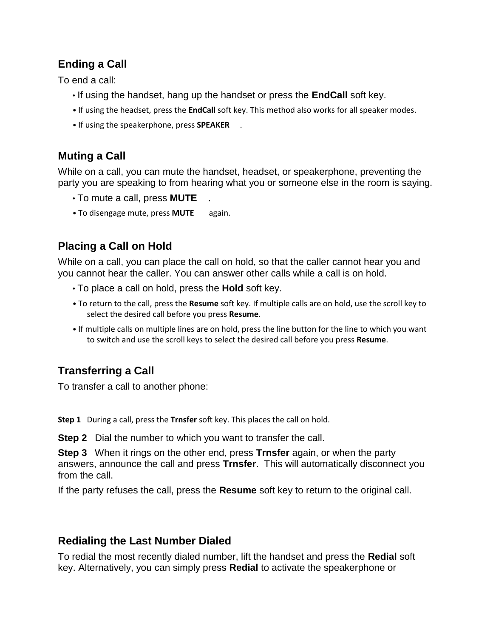### **Ending a Call**

To end a call:

- If using the handset, hang up the handset or press the **EndCall** soft key.
- If using the headset, press the **EndCall** soft key. This method also works for all speaker modes.
- If using the speakerphone, press **SPEAKER** .

### **Muting a Call**

While on a call, you can mute the handset, headset, or speakerphone, preventing the party you are speaking to from hearing what you or someone else in the room is saying.

- To mute a call, press **MUTE** .
- To disengage mute, press **MUTE** again.

### **Placing a Call on Hold**

While on a call, you can place the call on hold, so that the caller cannot hear you and you cannot hear the caller. You can answer other calls while a call is on hold.

- To place a call on hold, press the **Hold** soft key.
- To return to the call, press the **Resume** soft key. If multiple calls are on hold, use the scroll key to select the desired call before you press **Resume**.
- If multiple calls on multiple lines are on hold, press the line button for the line to which you want to switch and use the scroll keys to select the desired call before you press **Resume**.

### **Transferring a Call**

To transfer a call to another phone:

**Step 1** During a call, press the **Trnsfer** soft key. This places the call on hold.

**Step 2** Dial the number to which you want to transfer the call.

**Step 3** When it rings on the other end, press **Trnsfer** again, or when the party answers, announce the call and press **Trnsfer**. This will automatically disconnect you from the call.

If the party refuses the call, press the **Resume** soft key to return to the original call.

#### **Redialing the Last Number Dialed**

To redial the most recently dialed number, lift the handset and press the **Redial** soft key. Alternatively, you can simply press **Redial** to activate the speakerphone or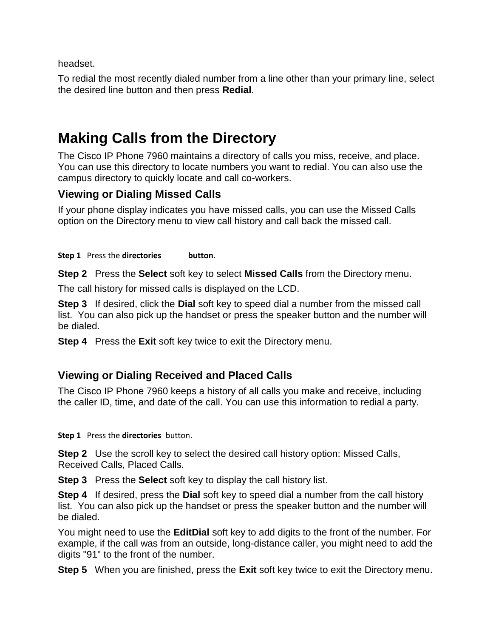headset.

To redial the most recently dialed number from a line other than your primary line, select the desired line button and then press **Redial**.

# **Making Calls from the Directory**

The Cisco IP Phone 7960 maintains a directory of calls you miss, receive, and place. You can use this directory to locate numbers you want to redial. You can also use the campus directory to quickly locate and call co-workers.

### **Viewing or Dialing Missed Calls**

If your phone display indicates you have missed calls, you can use the Missed Calls option on the Directory menu to view call history and call back the missed call.

**Step 1** Press the **directories button**.

**Step 2** Press the **Select** soft key to select **Missed Calls** from the Directory menu.

The call history for missed calls is displayed on the LCD.

**Step 3** If desired, click the **Dial** soft key to speed dial a number from the missed call list. You can also pick up the handset or press the speaker button and the number will be dialed.

**Step 4** Press the **Exit** soft key twice to exit the Directory menu.

#### **Viewing or Dialing Received and Placed Calls**

The Cisco IP Phone 7960 keeps a history of all calls you make and receive, including the caller ID, time, and date of the call. You can use this information to redial a party.

**Step 1** Press the **directories** button.

**Step 2** Use the scroll key to select the desired call history option: Missed Calls, Received Calls, Placed Calls.

**Step 3** Press the **Select** soft key to display the call history list.

**Step 4** If desired, press the **Dial** soft key to speed dial a number from the call history list. You can also pick up the handset or press the speaker button and the number will be dialed.

You might need to use the **EditDial** soft key to add digits to the front of the number. For example, if the call was from an outside, long-distance caller, you might need to add the digits "91" to the front of the number.

**Step 5** When you are finished, press the **Exit** soft key twice to exit the Directory menu.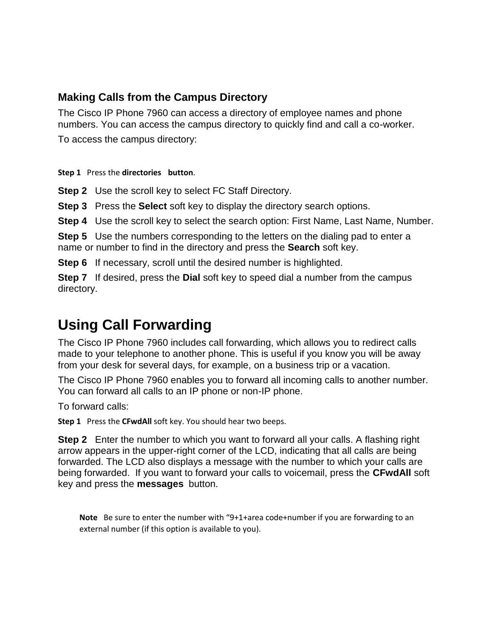#### **Making Calls from the Campus Directory**

The Cisco IP Phone 7960 can access a directory of employee names and phone numbers. You can access the campus directory to quickly find and call a co-worker.

To access the campus directory:

**Step 1** Press the **directories button**.

**Step 2** Use the scroll key to select FC Staff Directory.

**Step 3** Press the **Select** soft key to display the directory search options.

**Step 4** Use the scroll key to select the search option: First Name, Last Name, Number.

**Step 5** Use the numbers corresponding to the letters on the dialing pad to enter a name or number to find in the directory and press the **Search** soft key.

**Step 6** If necessary, scroll until the desired number is highlighted.

**Step 7** If desired, press the **Dial** soft key to speed dial a number from the campus directory.

# **Using Call Forwarding**

The Cisco IP Phone 7960 includes call forwarding, which allows you to redirect calls made to your telephone to another phone. This is useful if you know you will be away from your desk for several days, for example, on a business trip or a vacation.

The Cisco IP Phone 7960 enables you to forward all incoming calls to another number. You can forward all calls to an IP phone or non-IP phone.

To forward calls:

**Step 1** Press the **CFwdAll** soft key. You should hear two beeps.

**Step 2** Enter the number to which you want to forward all your calls. A flashing right arrow appears in the upper-right corner of the LCD, indicating that all calls are being forwarded. The LCD also displays a message with the number to which your calls are being forwarded. If you want to forward your calls to voicemail, press the **CFwdAll** soft key and press the **messages** button.

**Note** Be sure to enter the number with "9+1+area code+number if you are forwarding to an external number (if this option is available to you).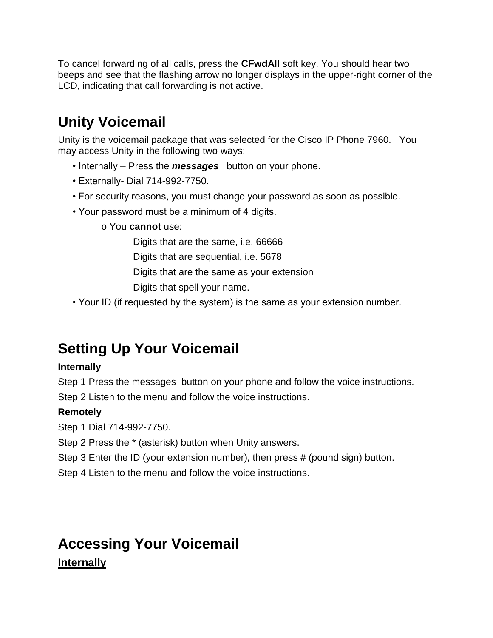To cancel forwarding of all calls, press the **CFwdAll** soft key. You should hear two beeps and see that the flashing arrow no longer displays in the upper-right corner of the LCD, indicating that call forwarding is not active.

# **Unity Voicemail**

Unity is the voicemail package that was selected for the Cisco IP Phone 7960. You may access Unity in the following two ways:

- Internally Press the *messages* button on your phone.
- Externally- Dial 714-992-7750.
- For security reasons, you must change your password as soon as possible.
- Your password must be a minimum of 4 digits.
	- o You **cannot** use:

Digits that are the same, i.e. 66666

Digits that are sequential, i.e. 5678

Digits that are the same as your extension

Digits that spell your name.

• Your ID (if requested by the system) is the same as your extension number.

# **Setting Up Your Voicemail**

#### **Internally**

Step 1 Press the messages button on your phone and follow the voice instructions.

Step 2 Listen to the menu and follow the voice instructions.

#### **Remotely**

Step 1 Dial 714-992-7750.

Step 2 Press the \* (asterisk) button when Unity answers.

Step 3 Enter the ID (your extension number), then press # (pound sign) button.

Step 4 Listen to the menu and follow the voice instructions.

# **Accessing Your Voicemail Internally**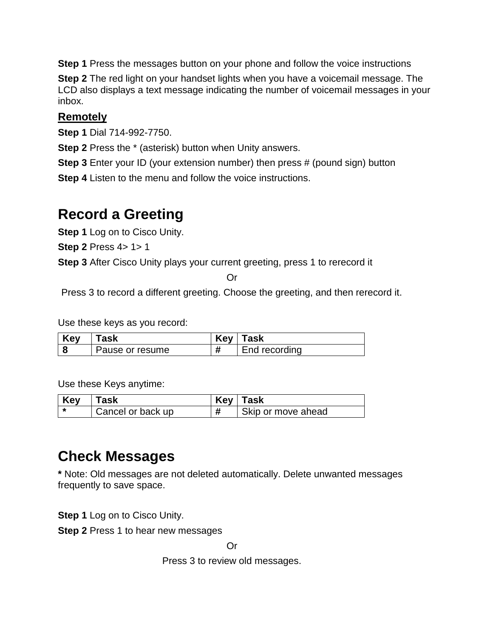**Step 1** Press the messages button on your phone and follow the voice instructions

**Step 2** The red light on your handset lights when you have a voicemail message. The LCD also displays a text message indicating the number of voicemail messages in your inbox.

#### **Remotely**

**Step 1** Dial 714-992-7750.

**Step 2** Press the \* (asterisk) button when Unity answers.

**Step 3** Enter your ID (your extension number) then press # (pound sign) button

**Step 4** Listen to the menu and follow the voice instructions.

# **Record a Greeting**

**Step 1** Log on to Cisco Unity.

**Step 2** Press 4> 1> 1

**Step 3** After Cisco Unity plays your current greeting, press 1 to rerecord it

Or

Press 3 to record a different greeting. Choose the greeting, and then rerecord it.

Use these keys as you record:

| Key | <b>ask</b>      | <b>Key</b> | Task          |
|-----|-----------------|------------|---------------|
|     | Pause or resume |            | End recording |

Use these Keys anytime:

| Key | ʿask              | <b>Key</b> | Task               |
|-----|-------------------|------------|--------------------|
|     | Cancel or back up |            | Skip or move ahead |

# **Check Messages**

**\*** Note: Old messages are not deleted automatically. Delete unwanted messages frequently to save space.

**Step 1** Log on to Cisco Unity.

**Step 2** Press 1 to hear new messages

Or

Press 3 to review old messages.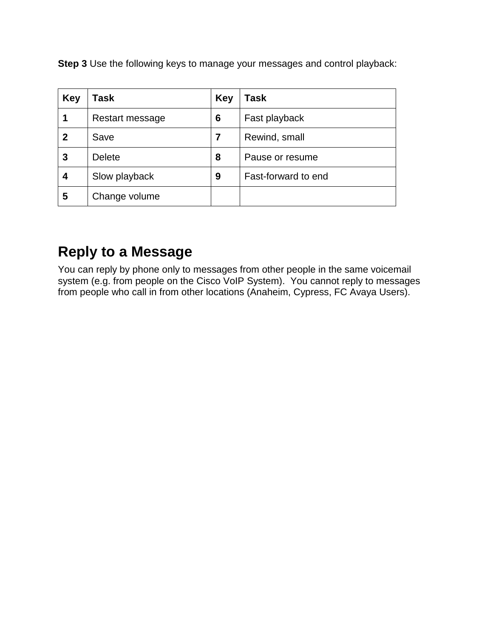**Step 3** Use the following keys to manage your messages and control playback:

| Key         | Task            | Key | Task                |
|-------------|-----------------|-----|---------------------|
|             | Restart message | 6   | Fast playback       |
| $\mathbf 2$ | Save            | 7   | Rewind, small       |
| 3           | <b>Delete</b>   | 8   | Pause or resume     |
| 4           | Slow playback   | 9   | Fast-forward to end |
| 5           | Change volume   |     |                     |

# **Reply to a Message**

You can reply by phone only to messages from other people in the same voicemail system (e.g. from people on the Cisco VoIP System). You cannot reply to messages from people who call in from other locations (Anaheim, Cypress, FC Avaya Users).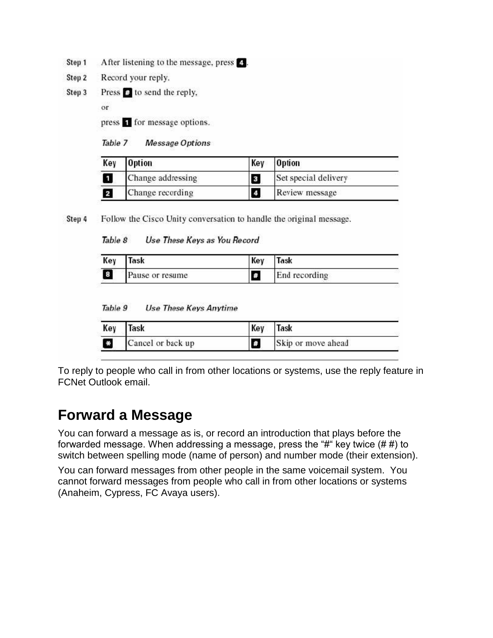- After listening to the message, press 2. Step 1
- Step 2 Record your reply.
- Press **D** to send the reply, Step 3

or

press **T** for message options.

Table 7 **Message Options** 

| Key                     | <b>Option</b>     | Key                     | Option               |
|-------------------------|-------------------|-------------------------|----------------------|
| Ú                       | Change addressing | $\overline{\mathbf{3}}$ | Set special delivery |
| $\overline{\mathbf{z}}$ | Change recording  | $\boldsymbol{4}$        | Review message       |

Follow the Cisco Unity conversation to handle the original message. Step 4

Table 8 Use These Keys as You Record

| Key | `ask            | Key | <b>ask</b>    |  |
|-----|-----------------|-----|---------------|--|
| 8   | Pause or resume | A.  | End recording |  |

Table 9 **Use These Keys Anytime** 

| Key           | Task              | Key | Task               |
|---------------|-------------------|-----|--------------------|
| $\frac{1}{N}$ | Cancel or back up | 【#  | Skip or move ahead |

To reply to people who call in from other locations or systems, use the reply feature in FCNet Outlook email.

# **Forward a Message**

You can forward a message as is, or record an introduction that plays before the forwarded message. When addressing a message, press the " $#$ " key twice  $##$ ) to switch between spelling mode (name of person) and number mode (their extension).

You can forward messages from other people in the same voicemail system. You cannot forward messages from people who call in from other locations or systems (Anaheim, Cypress, FC Avaya users).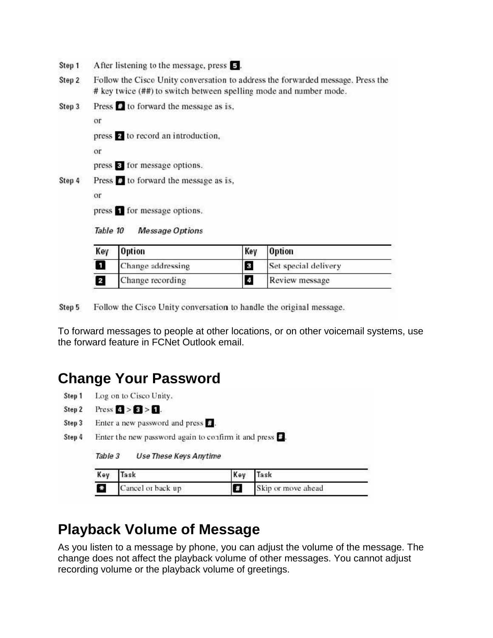- After listening to the message, press 5. Step 1
- Step 2 Follow the Cisco Unity conversation to address the forwarded message. Press the # key twice (##) to switch between spelling mode and number mode.
- Step 3 Press  $\mathbf{\Theta}$  to forward the message as is,

or

press 2 to record an introduction,

or

press **a** for message options.

Press **C**<sup>1</sup> to forward the message as is, Step 4

or

press **T** for message options.

Table 10 **Message Options** 

| Key | <b>Option</b>     | Key              | <b>Option</b>        |
|-----|-------------------|------------------|----------------------|
| П   | Change addressing | 3                | Set special delivery |
| 2   | Change recording  | $\boldsymbol{A}$ | Review message       |

Follow the Cisco Unity conversation to handle the original message. Step 5

To forward messages to people at other locations, or on other voicemail systems, use the forward feature in FCNet Outlook email.

### **Change Your Password**

- Step 1 Log on to Cisco Unity.
- Step 2 Press  $\leq$  >  $\leq$  >  $\leq$  1.
- Step 3 Enter a new password and press  $\theta$ .
- Step 4 Enter the new password again to confirm it and press  $\boldsymbol{\mathsf{B}}$ .

Table 3 **Use These Keys Anytime** 

| Key     | Task              | Key | Task               |  |
|---------|-------------------|-----|--------------------|--|
| $\star$ | Cancel or back up |     | Skip or move ahead |  |

# **Playback Volume of Message**

As you listen to a message by phone, you can adjust the volume of the message. The change does not affect the playback volume of other messages. You cannot adjust recording volume or the playback volume of greetings.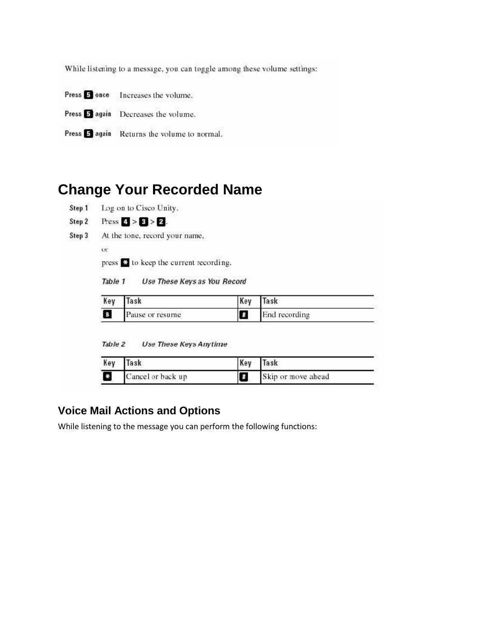While listening to a message, you can toggle among these volume settings:

| Press 5 once Increases the volume.          |
|---------------------------------------------|
| Press 3 again Decreases the volume.         |
| Press 5 again Returns the volume to normal. |

# **Change Your Recorded Name**

|                         | At the tone, record your name,                     |     |               |
|-------------------------|----------------------------------------------------|-----|---------------|
| or                      |                                                    |     |               |
|                         | press <sup>of</sup> to keep the current recording. |     |               |
| Table 1<br>Key          | Use These Keys as You Record<br>Task               | Key | Task          |
|                         |                                                    |     |               |
|                         |                                                    |     |               |
| $\mathbf{8}$<br>Table 2 | Pause or resume<br>Use These Keys Anytime          | £   | End recording |
| Key                     | Task                                               | Key | Task          |

#### **Voice Mail Actions and Options**

While listening to the message you can perform the following functions: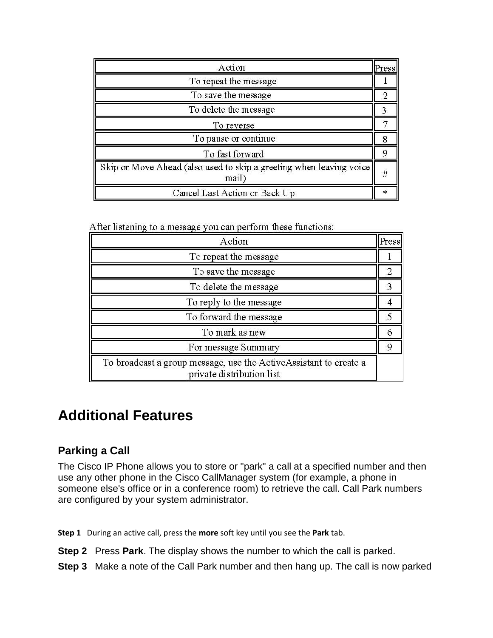| Action                                                                      | Press  |
|-----------------------------------------------------------------------------|--------|
| To repeat the message                                                       |        |
| To save the message                                                         |        |
| To delete the message                                                       |        |
| To reverse                                                                  |        |
| To pause or continue                                                        |        |
| To fast forward                                                             | o      |
| Skip or Move Ahead (also used to skip a greeting when leaving voice<br>mail | #      |
| Cancel Last Action or Back Up                                               | $\ast$ |

After listening to a message you can perform these functions:

| Action                                                                                         | Press |
|------------------------------------------------------------------------------------------------|-------|
| To repeat the message                                                                          |       |
| To save the message                                                                            |       |
| To delete the message                                                                          |       |
| To reply to the message                                                                        |       |
| To forward the message                                                                         |       |
| To mark as new                                                                                 |       |
| For message Summary                                                                            |       |
| To broadcast a group message, use the ActiveAssistant to create a<br>private distribution list |       |

# **Additional Features**

#### **Parking a Call**

The Cisco IP Phone allows you to store or "park" a call at a specified number and then use any other phone in the Cisco CallManager system (for example, a phone in someone else's office or in a conference room) to retrieve the call. Call Park numbers are configured by your system administrator.

**Step 1** During an active call, press the **more** soft key until you see the **Park** tab.

**Step 2** Press **Park**. The display shows the number to which the call is parked.

**Step 3** Make a note of the Call Park number and then hang up. The call is now parked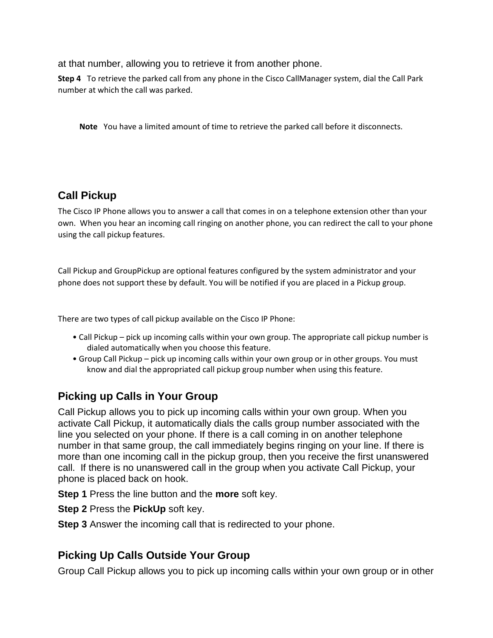at that number, allowing you to retrieve it from another phone.

**Step 4** To retrieve the parked call from any phone in the Cisco CallManager system, dial the Call Park number at which the call was parked.

**Note** You have a limited amount of time to retrieve the parked call before it disconnects.

### **Call Pickup**

The Cisco IP Phone allows you to answer a call that comes in on a telephone extension other than your own. When you hear an incoming call ringing on another phone, you can redirect the call to your phone using the call pickup features.

Call Pickup and GroupPickup are optional features configured by the system administrator and your phone does not support these by default. You will be notified if you are placed in a Pickup group.

There are two types of call pickup available on the Cisco IP Phone:

- Call Pickup pick up incoming calls within your own group. The appropriate call pickup number is dialed automatically when you choose this feature.
- Group Call Pickup pick up incoming calls within your own group or in other groups. You must know and dial the appropriated call pickup group number when using this feature.

#### **Picking up Calls in Your Group**

Call Pickup allows you to pick up incoming calls within your own group. When you activate Call Pickup, it automatically dials the calls group number associated with the line you selected on your phone. If there is a call coming in on another telephone number in that same group, the call immediately begins ringing on your line. If there is more than one incoming call in the pickup group, then you receive the first unanswered call. If there is no unanswered call in the group when you activate Call Pickup, your phone is placed back on hook.

**Step 1** Press the line button and the **more** soft key.

**Step 2** Press the **PickUp** soft key.

**Step 3** Answer the incoming call that is redirected to your phone.

#### **Picking Up Calls Outside Your Group**

Group Call Pickup allows you to pick up incoming calls within your own group or in other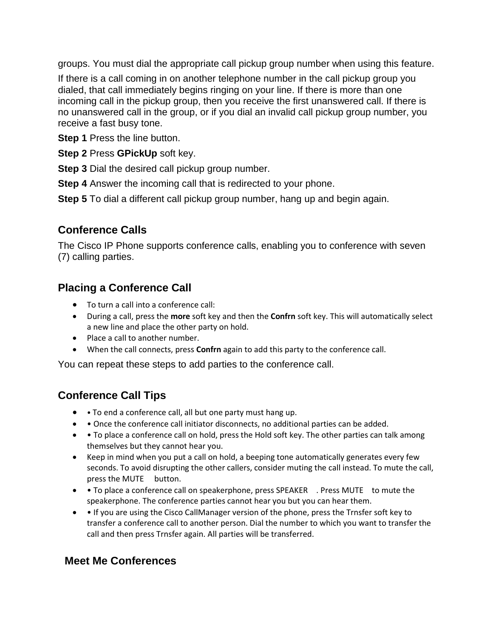groups. You must dial the appropriate call pickup group number when using this feature.

If there is a call coming in on another telephone number in the call pickup group you dialed, that call immediately begins ringing on your line. If there is more than one incoming call in the pickup group, then you receive the first unanswered call. If there is no unanswered call in the group, or if you dial an invalid call pickup group number, you receive a fast busy tone.

**Step 1** Press the line button.

**Step 2** Press **GPickUp** soft key.

**Step 3** Dial the desired call pickup group number.

**Step 4** Answer the incoming call that is redirected to your phone.

**Step 5** To dial a different call pickup group number, hang up and begin again.

### **Conference Calls**

The Cisco IP Phone supports conference calls, enabling you to conference with seven (7) calling parties.

#### **Placing a Conference Call**

- To turn a call into a conference call:
- During a call, press the **more** soft key and then the **Confrn** soft key. This will automatically select a new line and place the other party on hold.
- Place a call to another number.
- When the call connects, press **Confrn** again to add this party to the conference call.

You can repeat these steps to add parties to the conference call.

### **Conference Call Tips**

- • To end a conference call, all but one party must hang up.
- Once the conference call initiator disconnects, no additional parties can be added.
- To place a conference call on hold, press the Hold soft key. The other parties can talk among themselves but they cannot hear you.
- Keep in mind when you put a call on hold, a beeping tone automatically generates every few seconds. To avoid disrupting the other callers, consider muting the call instead. To mute the call, press the MUTE button.
- To place a conference call on speakerphone, press SPEAKER . Press MUTE to mute the speakerphone. The conference parties cannot hear you but you can hear them.
- If you are using the Cisco CallManager version of the phone, press the Trnsfer soft key to transfer a conference call to another person. Dial the number to which you want to transfer the call and then press Trnsfer again. All parties will be transferred.

#### **Meet Me Conferences**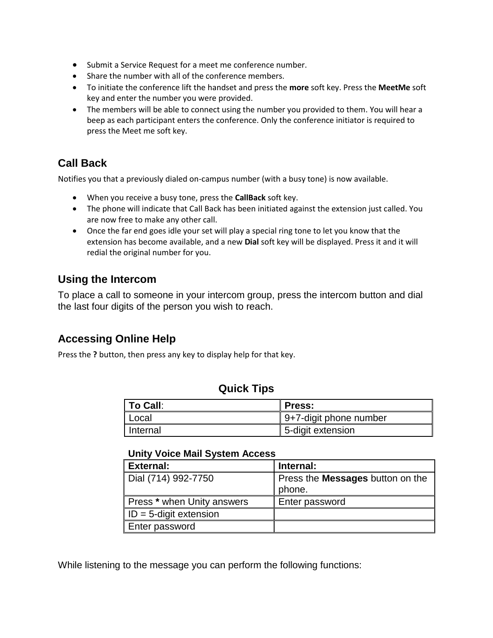- Submit a Service Request for a meet me conference number.
- Share the number with all of the conference members.
- To initiate the conference lift the handset and press the **more** soft key. Press the **MeetMe** soft key and enter the number you were provided.
- The members will be able to connect using the number you provided to them. You will hear a beep as each participant enters the conference. Only the conference initiator is required to press the Meet me soft key.

### **Call Back**

Notifies you that a previously dialed on-campus number (with a busy tone) is now available.

- When you receive a busy tone, press the **CallBack** soft key.
- The phone will indicate that Call Back has been initiated against the extension just called. You are now free to make any other call.
- Once the far end goes idle your set will play a special ring tone to let you know that the extension has become available, and a new **Dial** soft key will be displayed. Press it and it will redial the original number for you.

#### **Using the Intercom**

To place a call to someone in your intercom group, press the intercom button and dial the last four digits of the person you wish to reach.

#### **Accessing Online Help**

Press the **?** button, then press any key to display help for that key.

#### **Quick Tips**

| <b>To Call:</b> | ∥ Press:               |
|-----------------|------------------------|
| ∥ Local         | 9+7-digit phone number |
| Internal        | 5-digit extension      |

#### **Unity Voice Mail System Access**

| <b>External:</b>               | Internal:                               |
|--------------------------------|-----------------------------------------|
| Dial (714) 992-7750            | Press the <b>Messages</b> button on the |
|                                | phone.                                  |
| Press * when Unity answers     | Enter password                          |
| $\vert$ ID = 5-digit extension |                                         |
| Enter password                 |                                         |

While listening to the message you can perform the following functions: